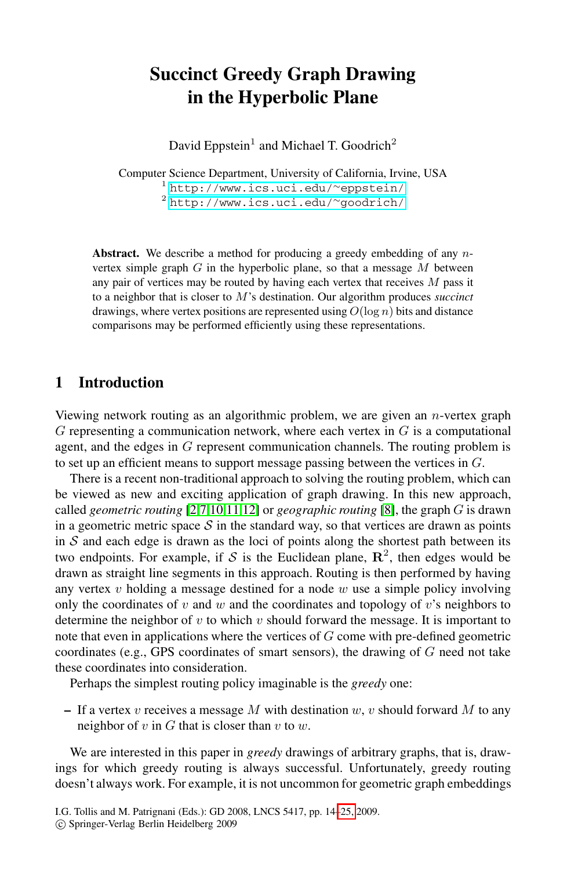# **[Succinct Greedy G](http://www.ics.uci.edu/~goodrich/)raph Drawing in the Hyperbolic Plane**

David Eppstein<sup>1</sup> and Michael T. Goodrich<sup>2</sup>

Computer Science Department, University of California, Irvine, USA <sup>1</sup> http://www.ics.uci.edu/∼eppstein/ <sup>2</sup> http://www.ics.uci.edu/∼goodrich/

Abstract. We describe a method for producing a greedy embedding of any nvertex simple graph  $G$  in the hyperbolic plane, so that a message  $M$  between any pair of vertices may be routed by having each vertex that receives  $M$  pass it to a neighbor that is closer to M's destination. Our algorithm produces *succinct* drawings, where vertex positions are represented using  $O(\log n)$  bits and distance comparisons may be performed efficiently using these representations.

# **1 [In](#page-10-0)[t](#page-11-0)[ro](#page-11-1)[du](#page-11-2)[ctio](#page-11-3)n**

Viewing network routing as an algorithmic problem, we are given an  $n$ -vertex graph  $G$  representing a communication network, where each vertex in  $G$  is a computational agent, and the edges in G represent communication channels. The routing problem is to set up an efficient means to support message passing between the vertices in G.

There is a recent non-traditional approach to solving the routing problem, which can be viewed as new and exciting application of graph drawing. In this new approach, called *geometric routing* [2,7,10,11,12] or *geographic routing* [8], the graph G is drawn in a geometric metric space  $S$  in the standard way, so that vertices are drawn as points in  $S$  and each edge is drawn as the loci of points along the shortest path between its two endpoints. For example, if S is the Euclidean plane,  $\mathbb{R}^2$ , then edges would be drawn as straight line segments in this approach. Routing is then performed by having any vertex  $v$  holding a message destined for a node  $w$  use a simple policy involving only the coordinates of  $v$  and  $w$  and the coordinates and topology of  $v$ 's neighbors to determine the neighbor of  $v$  to which  $v$  should forward the message. It is important to note that even in applications where the vertices of G come with pre-defined geometric coordinates (e.g., GPS coordinates of smart sensors), the drawing of  $G$  need not take these coordinates into consideration.

Perhaps the simplest routing [polic](#page-11-4)y imaginable is the *greedy* one:

**–** If a vertex v receives a message M with destination w, v should forward M to any neighbor of v in G that is closer than v to w.

We are interested in this paper in *greedy* drawings of arbitrary graphs, that is, drawings for which greedy routing is always successful. Unfortunately, greedy routing doesn't always work. For example, it is not uncommon for geometric graph embeddings

I.G. Tollis and M. Patrignani (Eds.): GD 2008, LNCS 5417, pp. 14–25, 2009.

<sup>-</sup>c Springer-Verlag Berlin Heidelberg 2009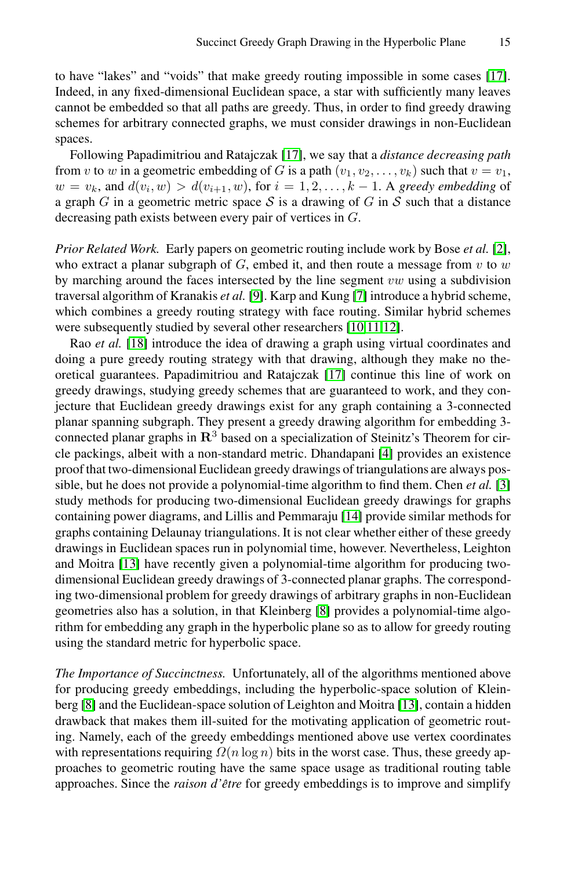to have "lakes" and "voids" that make greedy routing impossible in some cases [17]. Indeed, in any fixed-dimensional Euclidean space, a star with sufficiently many leaves cannot be embedded so that all paths are greedy. Thus, in order to find greedy drawing schemes for arbitrary connected graphs, we must consider dra[wi](#page-10-0)ngs in non-Euclidean spaces.

Following Papadimitriou and Ratajczak [17], we say that a *distance decreasing path* from v to w in a [ge](#page-11-5)ometric embeddi[ng](#page-11-0) of G is a path  $(v_1, v_2, \ldots, v_k)$  such that  $v = v_1$ ,  $w = v_k$ , and  $d(v_i, w) > d(v_{i+1}, w)$ , for  $i = 1, 2, \ldots, k-1$ . A *greedy embedding* of a graph  $G$  in a geometric metric s[pace](#page-11-1)  $S$  [is](#page-11-3) a drawing of  $G$  in  $S$  such that a distance decreasing path exists between every pair of vertices in G.

*Prior Related Work.* Early pap[ers](#page-11-6) on geometric routing include work by Bose *et al.* [2], who extract a planar subgraph of  $G$ , embed it, and then route a message from  $v$  to  $w$ by marching around the faces intersected by the line segment  $vw$  using a subdivision traversal algorithm of Kranakis *et al.* [9]. Karp and Kung [7] introduce a hybrid scheme, which combines a greedy routing strategy with face routing. Similar hybrid schemes were subsequently studied by several oth[er](#page-11-7) researchers [10,11,12].

Rao *et al.* [18] introduce the idea of drawing a graph using virtual coordinates and doing a pure greedy routing strategy with that drawing, altho[ug](#page-11-8)h they make no theoretical guarantees. Papadimitriou and Ratajczak [17] continue this line of work on greedy drawings, studying greedy [sch](#page-11-9)emes that are guaranteed to work, and they conjecture that Euclidean greedy drawings exist for any graph containing a 3-connected planar spanning subgraph. They present a greedy drawing algorithm for embedding 3 connected planar graphs in **R**<sup>3</sup> based on a specialization of Steinitz's Theorem for circle packings, albeit with a non-standard metric. Dhandapani [4] provides an existence proof that two-dimensional Euclidean greedy drawings of triangulations are always possible, but he does not provid[e a](#page-11-10) polynomial-time algorithm to find them. Chen *et al.* [3] study methods for producing two-dimensional Euclidean greedy drawings for graphs containing power diagrams, and Lillis and Pemmaraju [14] provide similar methods for graphs containing Delaunay triangulations. It is not clear whether either of these greedy drawings in Euclidean spaces run in polynomial time, however. Nevertheless, Leighton and Moitra [13] have recently given a polynomial-time algorithm for producing twodimensional Euclidean greedy drawings of 3[-con](#page-11-11)nected planar graphs. The corresponding two-dimensional problem for greedy drawings of arbitrary graphs in non-Euclidean geometries also has a solution, in that Kleinberg [8] provides a polynomial-time algorithm for embedding any graph in the hyperbolic plane so as to allow for greedy routing using the standard metric for hyperbolic space.

*The Importance of Succinctness.* Unfortunately, all of the algorithms mentioned above for producing greedy embeddings, including the hyperbolic-space solution of Kleinberg [8] and the Euclidean-space solution of Leighton and Moitra [13], contain a hidden drawback that makes them ill-suited for the motivating application of geometric routing. Namely, each of the greedy embeddings mentioned above use vertex coordinates with representations requiring  $\Omega(n \log n)$  bits in the worst case. Thus, these greedy approaches to geometric routing have the same space usage as traditional routing table approaches. Since the *raison d'être* for greedy embeddings is to improve and simplify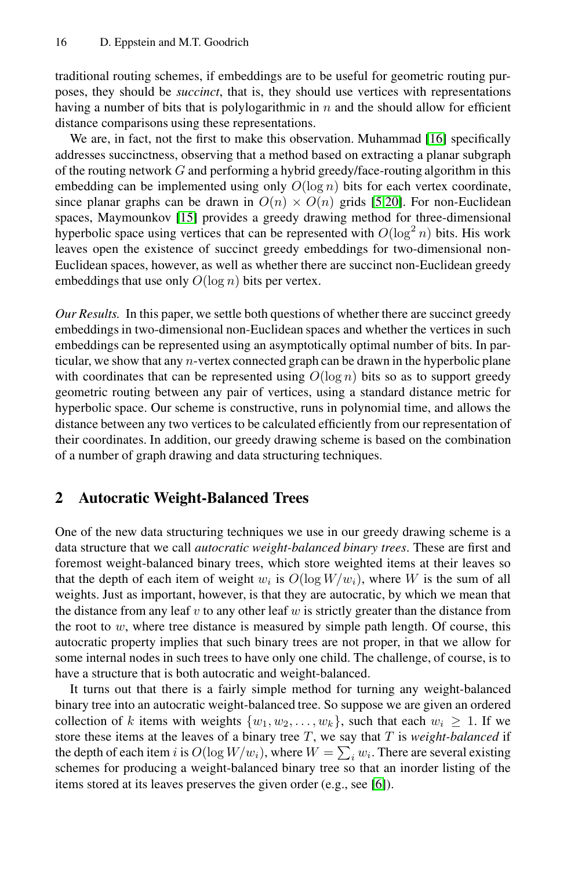traditional routing schemes, if embeddi[ng](#page-11-12)[s a](#page-11-13)re to be useful for geometric routing purpo[ses,](#page-11-14) they should be *succinct*, that is, they should use vertices with representations having a number of bits that is polylogarithmic in  $n$  and the should allow for efficient distance comparisons using these representations.

We are, in fact, not the first to make this observation. Muhammad [16] specifically addresses succinctness, observing that a method based on extracting a planar subgraph of the routing network  $G$  and performing a hybrid greedy/face-routing algorithm in this embedding can be implemented using only  $O(\log n)$  bits for each vertex coordinate, since planar graphs can be drawn in  $O(n) \times O(n)$  grids [5,20]. For non-Euclidean spaces, Maymounkov [15] provides a greedy drawing method for three-dimensional hyperbolic space using vertices that can be represented with  $O(\log^2 n)$  bits. His work leaves open the existence of succinct greedy embeddings for two-dimensional non-Euclidean spaces, however, as well as whether there are succinct non-Euclidean greedy embeddings that use only  $O(\log n)$  bits per vertex.

*Our Results.* In this paper, we settle both questions of whether there are succinct greedy embeddings in two-dimensional non-Euclidean spaces and whether the vertices in such embeddings can be represented using an asymptotically optimal number of bits. In particular, we show that any  $n$ -vertex connected graph can be drawn in the hyperbolic plane with coordinates that can be represented using  $O(\log n)$  bits so as to support greedy geometric routing between any pair of vertices, using a standard distance metric for hyperbolic space. Our scheme is constructive, runs in polynomial time, and allows the distance between any two vertices to be calculated efficiently from our representation of their coordinates. In addition, our greedy drawing scheme is based on the combination of a number of graph drawing and data structuring techniques.

## **2 Autocratic Weight-Balanced Trees**

One of the new data structuring techniques we use in our greedy drawing scheme is a data structure that we call *autocratic weight-balanced binary trees*. These are first and foremost weight-balanced binary trees, which store weighted items at their leaves so that the depth of each item of weight  $w_i$  is  $O(\log W/w_i)$ , where W is the sum of all weights. Just as important, however, is that they are autocratic, by which we mean that the distance from any leaf v to any other leaf w is strictly greater than the distance from the root to  $w$ , where tree distance is measured by simple path length. Of course, this autocratic property implies that such binary trees are not proper, in that we allow for some internal nodes in such trees to hav[e o](#page-11-15)nly one child. The challenge, of course, is to have a structure that is both autocratic and weight-balanced.

It turns out that there is a fairly simple method for turning any weight-balanced binary tree into an autocratic weight-balanced tree. So suppose we are given an ordered collection of k items with weights  $\{w_1, w_2, \ldots, w_k\}$ , such that each  $w_i \geq 1$ . If we store these items at the leaves of a binary tree  $T$ , we say that  $T$  is *weight-balanced* if the depth of each item  $i$  is  $O(\log W/w_i)$ , where  $W=\sum_i w_i.$  There are several existing schemes for producing a weight-balanced binary tree so that an inorder listing of the items stored at its leaves preserves the given order (e.g., see [6]).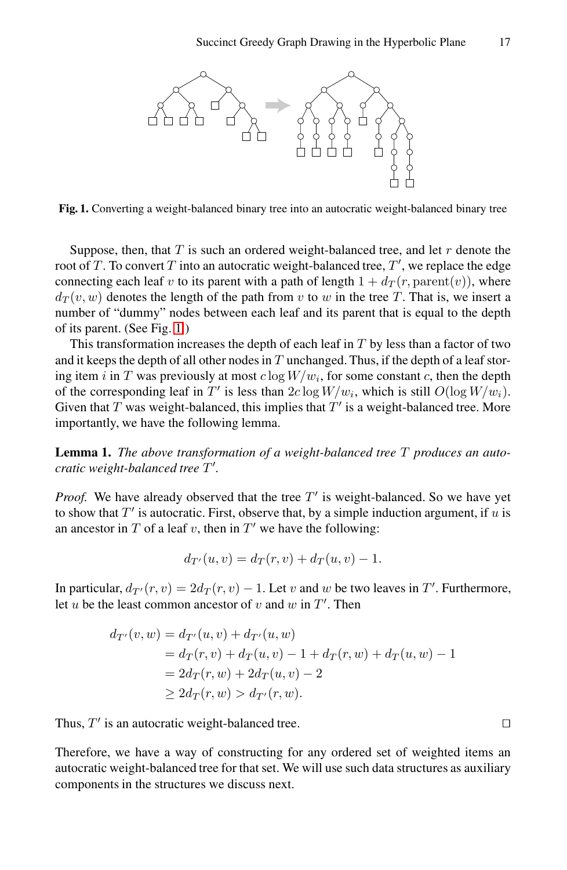

<span id="page-3-0"></span>**[Fig](#page-3-0). 1.** Converting a weight-balanced binary tree into an autocratic weight-balanced binary tree

Suppose, then, that  $T$  is such an ordered weight-balanced tree, and let  $r$  denote the root of T. To convert T into an autocratic weight-balanced tree,  $T'$ , we replace the edge connecting each leaf v to its parent with a path of length  $1 + d_T(r, \text{parent}(v))$ , where  $d_T(v, w)$  denotes the length of the path from v to w in the tree T. That is, we insert a number of "dummy" nodes between each leaf and its parent that is equal to the depth of its parent. (See Fig. 1.)

This transformation increases the depth of each leaf in  $T$  by less than a factor of two and it keeps the depth of all other nodes in  $T$  unchanged. Thus, if the depth of a leaf storing item i in T was previously at most  $c \log W/w_i$ , for some constant c, then the depth of the corresponding leaf in T' is less than  $2c \log W/w_i$ , which is still  $O(\log W/w_i)$ . Given that  $T$  was weight-balanced, this implies that  $T'$  is a weight-balanced tree. More importantly, we have the following lemma.

**Lemma 1.** *The above transformation of a weight-balanced tree* T *produces an autocratic weight-balanced tree* T'.

*Proof.* We have already observed that the tree  $T'$  is weight-balanced. So we have yet to show that  $T'$  is autocratic. First, observe that, by a simple induction argument, if  $u$  is an ancestor in T of a leaf v, then in  $T'$  we have the following:

$$
d_{T'}(u, v) = d_T(r, v) + d_T(u, v) - 1.
$$

In particular,  $d_{T'}(r, v) = 2d_T(r, v) - 1$ . Let v and w be two leaves in T'. Furthermore, let u be the least common ancestor of v and w in  $T'$ . Then

$$
d_{T'}(v, w) = d_{T'}(u, v) + d_{T'}(u, w)
$$
  
=  $d_T(r, v) + d_T(u, v) - 1 + d_T(r, w) + d_T(u, w) - 1$   
=  $2d_T(r, w) + 2d_T(u, v) - 2$   
 $\geq 2d_T(r, w) > d_{T'}(r, w).$ 

Thus,  $T'$  is an autocratic weight-balanced tree.

Therefore, we have a way of constructing for any ordered set of weighted items an autocratic weight-balanced tree for that set. We will use such data structures as auxiliary components in the structures we discuss next.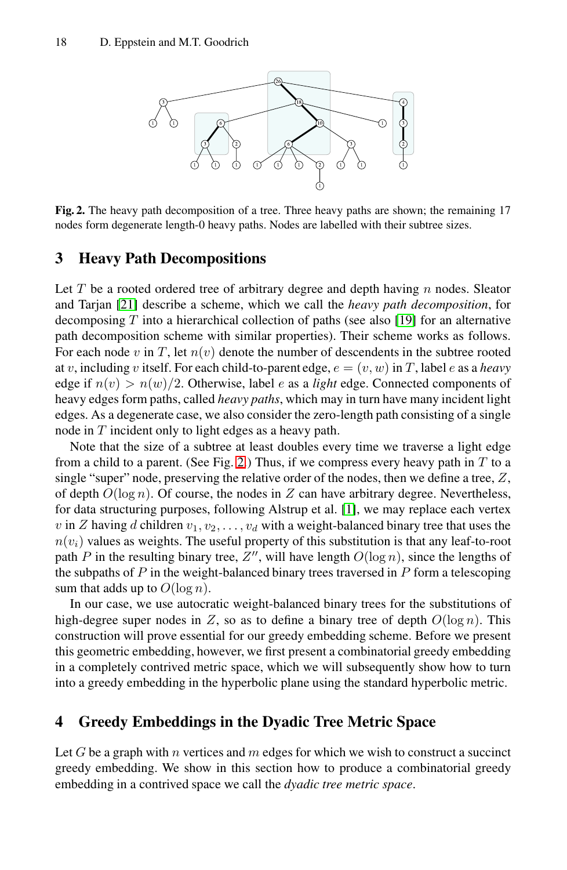

<span id="page-4-0"></span>**Fig. 2.** The heavy path decomposition of a tree. [Thre](#page-11-16)e heavy paths are shown; the remaining 17 nodes form degenerate length-0 heavy paths. Nodes are labelled with their subtree sizes.

## **3 Heavy Path Decompositions**

Let  $T$  be a rooted ordered tree of arbitrary degree and depth having  $n$  nodes. Sleator and Tarjan [21] describe a scheme, which we call the *heavy path decomposition*, for decomposing  $T$  into a hierarchical collection of paths (see also [19] for an alternative path decomp[osi](#page-4-0)tion scheme with similar properties). Their scheme works as follows. For each node v in T, let  $n(v)$  denote the number of descendents in the subtree rooted at v, including v itself. For each child-to-parent edge,  $e = (v, w)$  in T, label e as a *heavy* edge if  $n(v) > n(w)/2$ . Otherwi[se,](#page-10-1) label e as a *light* edge. Connected components of heavy edges form paths, called *heavy paths*, which may in turn have many incident light edges. As a degenerate case, we also consider the zero-length path consisting of a single node in T incident only to light edges as a heavy path.

Note that the size of a subtree at least doubles every time we traverse a light edge from a child to a parent. (See Fig. 2.) Thus, if we compress every heavy path in  $T$  to a single "super" node, preserving the relative order of the nodes, then we define a tree,  $Z$ , of depth  $O(\log n)$ . Of course, the nodes in Z can have arbitrary degree. Nevertheless, for data structuring purposes, following Alstrup et al. [1], we may replace each vertex v in Z having d children  $v_1, v_2, \ldots, v_d$  with a weight-balanced binary tree that uses the  $n(v_i)$  values as weights. The useful property of this substitution is that any leaf-to-root path P in the resulting binary tree,  $Z''$ , will have length  $O(\log n)$ , since the lengths of the subpaths of  $P$  in the weight-balanced binary trees traversed in  $P$  form a telescoping sum that adds up to  $O(\log n)$ .

In our case, we use autocratic weight-balanced binary trees for the substitutions of high-degree super nodes in Z, so as to define a binary tree of depth  $O(\log n)$ . This construction will prove essential for our greedy embedding scheme. Before we present this geometric embedding, however, we first present a combinatorial greedy embedding in a completely contrived metric space, which we will subsequently show how to turn into a greedy embedding in the hyperbolic plane using the standard hyperbolic metric.

# **4 Greedy Embeddings in the Dyadic Tree Metric Space**

Let G be a graph with n vertices and m edges for which we wish to construct a succinct greedy embedding. We show in this section how to produce a combinatorial greedy embedding in a contrived space we call the *dyadic tree metric space*.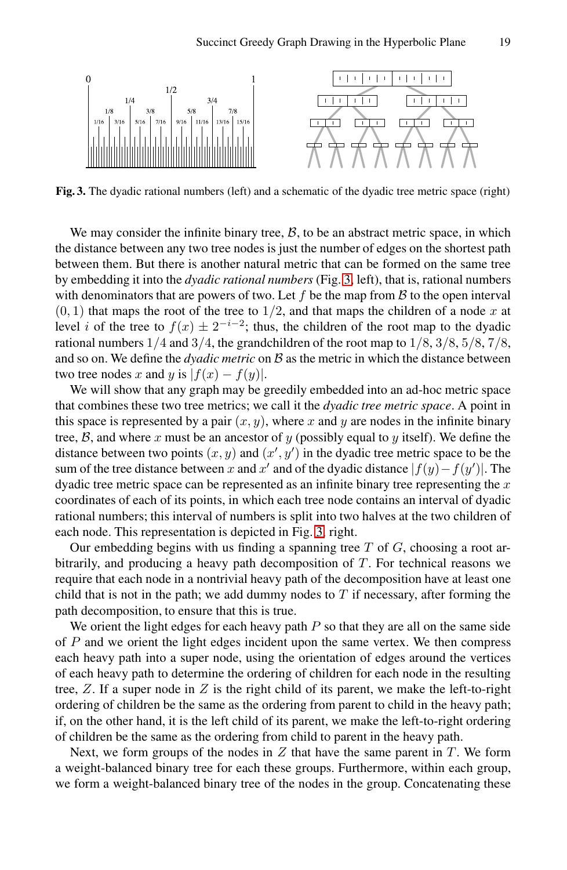<span id="page-5-0"></span>

**Fig. 3.** The dyadic rational numbers (left) and a schematic of the dyadic tree metric space (right)

We may consider the infinite binary tree,  $\beta$ , to be an abstract metric space, in which the distance between any two tree nodes is just the number of edges on the shortest path between them. But there is another natural metric that can be formed on the same tree by embedding it into the *dyadic rational numbers* (Fig. 3, left), that is, rational numbers with denominators that are powers of two. Let f be the map from  $\beta$  to the open interval  $(0, 1)$  that maps the root of the tree to  $1/2$ , and that maps the children of a node x at level i of the tree to  $f(x) \pm 2^{-i-2}$ ; thus, the children of the root map to the dyadic rational numbers  $1/4$  and  $3/4$ , the grandchildren of the root map to  $1/8$ ,  $3/8$ ,  $5/8$ ,  $7/8$ , and so on. We define the *dyadic metric* on B as the metric in which the distance between two tree nodes x and y is  $|f(x) - f(y)|$ .

We will show that any graph may be greedily embedded into an ad-hoc metric space that combines these two tree [m](#page-5-0)etrics; we call it the *dyadic tree metric space*. A point in this space is represented by a pair  $(x, y)$ , where x and y are nodes in the infinite binary tree,  $\beta$ , and where x must be an ancestor of y (possibly equal to y itself). We define the distance between two points  $(x, y)$  and  $(x', y')$  in the dyadic tree metric space to be the sum of the tree distance between x and x' and of the dyadic distance  $|f(y)-f(y')|$ . The dyadic tree metric space can be represented as an infinite binary tree representing the  $x$ coordinates of each of its points, in which each tree node contains an interval of dyadic rational numbers; this interval of numbers is split into two halves at the two children of each node. This representation is depicted in Fig. 3, right.

Our embedding begins with us finding a spanning tree  $T$  of  $G$ , choosing a root arbitrarily, and producing a heavy path decomposition of  $T$ . For technical reasons we require that each node in a nontrivial heavy path of the decomposition have at least one child that is not in the path; we add dummy nodes to  $T$  if necessary, after forming the path decomposition, to ensure that this is true.

We orient the light edges for each heavy path  $P$  so that they are all on the same side of  $P$  and we orient the light edges incident upon the same vertex. We then compress each heavy path into a super node, using the orientation of edges around the vertices of each heavy path to determine the ordering of children for each node in the resulting tree,  $Z$ . If a super node in  $Z$  is the right child of its parent, we make the left-to-right ordering of children be the same as the ordering from parent to child in the heavy path; if, on the other hand, it is the left child of its parent, we make the left-to-right ordering of children be the same as the ordering from child to parent in the heavy path.

Next, we form groups of the nodes in  $Z$  that have the same parent in  $T$ . We form a weight-balanced binary tree for each these groups. Furthermore, within each group, we form a weight-balanced binary tree of the nodes in the group. Concatenating these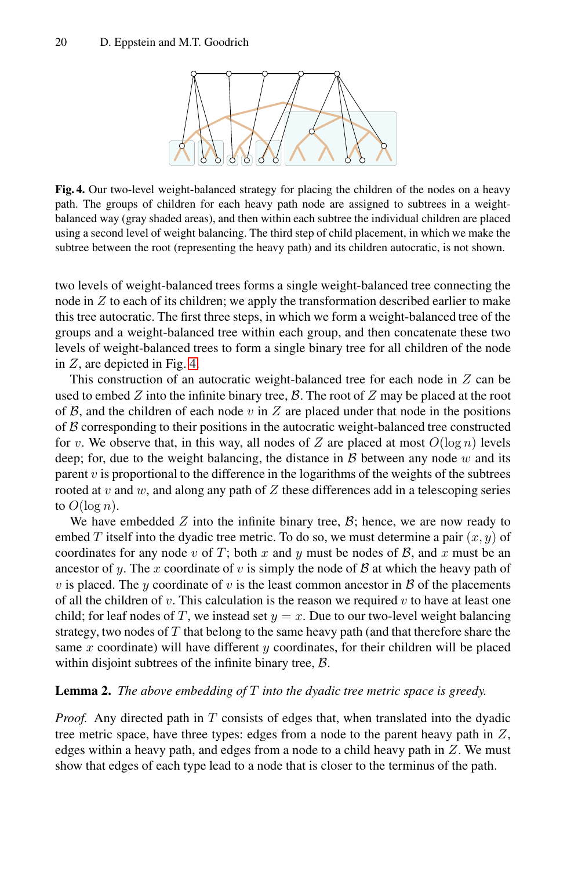

<span id="page-6-0"></span>**Fig. 4.** Our two-level weight-balanced strategy for placing the children of the nodes on a heavy path. The groups of children for each heavy path node are assigned to subtrees in a weightbalanced way (gray shaded areas), and then within each subtree the individual children are placed using a second level of weight balancing. The third step of child placement, in which we make the subtr[ee](#page-6-0) between the root (representing the heavy path) and its children autocratic, is not shown.

two levels of weight-balanced trees forms a single weight-balanced tree connecting the node in  $Z$  to each of its children; we apply the transformation described earlier to make this tree autocratic. The first three steps, in which we form a weight-balanced tree of the groups and a weight-balanced tree within each group, and then concatenate these two levels of weight-balanced trees to form a single binary tree for all children of the node in  $Z$ , are depicted in Fig. 4.

This construction of an autocratic weight-balanced tree for each node in  $Z$  can be used to embed  $Z$  into the infinite binary tree,  $\mathcal B$ . The root of  $Z$  may be placed at the root of  $\mathcal{B}$ , and the children of each node v in Z are placed under that node in the positions of  $\beta$  corresponding to their positions in the autocratic weight-balanced tree constructed for v. We observe that, in this way, all nodes of Z are placed at most  $O(\log n)$  levels deep; for, due to the weight balancing, the distance in  $\beta$  between any node w and its parent  $v$  is proportional to the difference in the logarithms of the weights of the subtrees rooted at  $v$  and  $w$ , and along any path of  $Z$  these differences add in a telescoping series to  $O(\log n)$ .

We have embedded  $Z$  into the infinite binary tree,  $B$ ; hence, we are now ready to embed T itself into the dyadic tree metric. To do so, we must determine a pair  $(x, y)$  of coordinates for any node v of T; both x and y must be nodes of  $B$ , and x must be an ancestor of y. The x coordinate of v is simply the node of  $\beta$  at which the heavy path of v is placed. The y coordinate of v is the least common ancestor in  $\beta$  of the placements of all the children of v. This calculation is the reason we required v to have at least one child; for leaf nodes of T, we instead set  $y = x$ . Due to our two-level weight balancing strategy, two nodes of  $T$  that belong to the same heavy path (and that therefore share the same  $x$  coordinate) will have different  $y$  coordinates, for their children will be placed within disjoint subtrees of the infinite binary tree,  $\beta$ .

## **Lemma 2.** *The above embedding of* T *into the dyadic tree metric space is greedy.*

*Proof.* Any directed path in T consists of edges that, when translated into the dyadic tree metric space, have three types: edges from a node to the parent heavy path in Z, edges within a heavy path, and edges from a node to a child heavy path in  $Z$ . We must show that edges of each type lead to a node that is closer to the terminus of the path.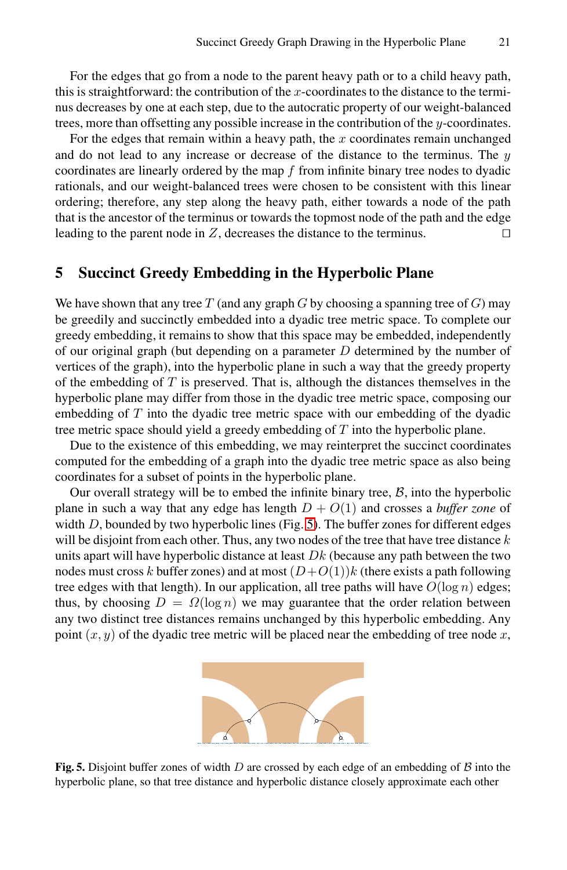For the edges that go from a node to the parent heavy path or to a child heavy path, this is straightforward: the contribution of the x-coordinates to the distance to the terminus decreases by one at each step, due to the autocratic property of our weight-balanced trees, more than offsetting any possible increase in the contribution of the y-coordinates.

For the edges that remain within a heavy path, the  $x$  coordinates remain unchanged and do not lead to any increase or decrease of the distance to the terminus. The  $y$ coordinates are linearly ordered by the map f from infinite binary tree nodes to dyadic rationals, and our weight-balanced trees were chosen to be consistent with this linear ordering; therefore, any step along the heavy path, either towards a node of the path that is the ancestor of the terminus or towards the topmost node of the path and the edge leading to the parent node in Z, decreases the distance to the terminus.  $\Box$ 

## **5 Succinct Greedy Embedding in the Hyperbolic Plane**

We have shown that any tree  $T$  (and any graph  $G$  by choosing a spanning tree of  $G$ ) may be greedily and succinctly embedded into a dyadic tree metric space. To complete our greedy embedding, it remains to show that this space may be embedded, independently of our original graph (but depending on a parameter  $D$  determined by the number of vertices of the graph), into the hyperbolic plane in such a way that the greedy property of the embedding of  $T$  is preserved. That is, although the distances themselves in the hyperbolic plane may diff[er f](#page-7-0)rom those in the dyadic tree metric space, composing our embedding of  $T$  into the dyadic tree metric space with our embedding of the dyadic tree metric space should yield a greedy embedding of T into the hyperbolic plane.

Due to the existence of this embedding, we may reinterpret the succinct coordinates computed for the embedding of a graph into the dyadic tree metric space as also being coordinates for a subset of points in the hyperbolic plane.

Our overall strategy will be to embed the infinite binary tree,  $\beta$ , into the hyperbolic plane in such a way that any edge has length  $D + O(1)$  and crosses a *buffer zone* of width  $D$ , bounded by two hyperbolic lines (Fig. 5). The buffer zones for different edges will be disjoint from each other. Thus, any two nodes of the tree that have tree distance  $k$ units apart will have hyperbolic distance at least  $Dk$  (because any path between the two nodes must cross k buffer zones) and at most  $(D+O(1))k$  (there exists a path following tree edges with that length). In our application, all tree paths will have  $O(\log n)$  edges; thus, by choosing  $D = \Omega(\log n)$  we may guarantee that the order relation between any two distinct tree distances remains unchanged by this hyperbolic embedding. Any point  $(x, y)$  of the dyadic tree metric will be placed near the embedding of tree node x,



<span id="page-7-0"></span>**Fig. 5.** Disjoint buffer zones of width D are crossed by each edge of an embedding of  $\beta$  into the hyperbolic plane, so that tree distance and hyperbolic distance closely approximate each other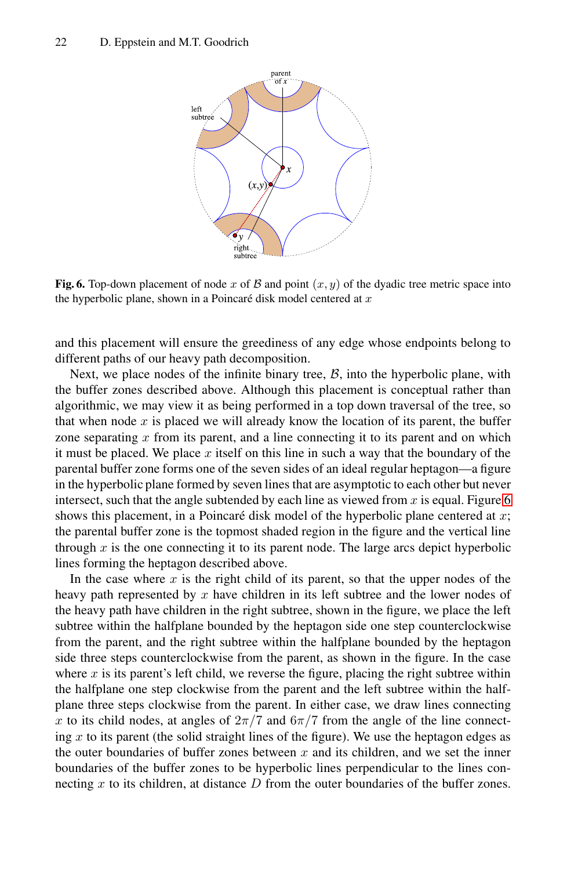

<span id="page-8-0"></span>**Fig. 6.** Top-down placement of node x of B and point  $(x, y)$  of the dyadic tree metric space into the hyperbolic plane, shown in a Poincaré disk model centered at  $x$ 

and this placement will ensure the greediness of any edge whose endpoints belong to different paths of our heavy path decomposition.

Next, we place nodes of the infinite binary tree,  $\beta$ , into the [hy](#page-8-0)perbolic plane, with the buffer zones described above. Although this placement is conceptual rather than algorithmic, we may view it as being performed in a top down traversal of the tree, so that when node  $x$  is placed we will already know the location of its parent, the buffer zone separating  $x$  from its parent, and a line connecting it to its parent and on which it must be placed. We place x itself on this line in such a way that the boundary of the parental buffer zone forms one of the seven sides of an ideal regular heptagon—a figure in the hyperbolic plane formed by seven lines that are asymptotic to each other but never intersect, such that the angle subtended by each line as viewed from x is equal. Figure 6 shows this placement, in a Poincaré disk model of the hyperbolic plane centered at  $x$ ; the parental buffer zone is the topmost shaded region in the figure and the vertical line through  $x$  is the one connecting it to its parent node. The large arcs depict hyperbolic lines forming the heptagon described above.

In the case where  $x$  is the right child of its parent, so that the upper nodes of the heavy path represented by  $x$  have children in its left subtree and the lower nodes of the heavy path have children in the right subtree, shown in the figure, we place the left subtree within the halfplane bounded by the heptagon side one step counterclockwise from the parent, and the right subtree within the halfplane bounded by the heptagon side three steps counterclockwise from the parent, as shown in the figure. In the case where  $x$  is its parent's left child, we reverse the figure, placing the right subtree within the halfplane one step clockwise from the parent and the left subtree within the halfplane three steps clockwise from the parent. In either case, we draw lines connecting x to its child nodes, at angles of  $2\pi/7$  and  $6\pi/7$  from the angle of the line connecting  $x$  to its parent (the solid straight lines of the figure). We use the heptagon edges as the outer boundaries of buffer zones between  $x$  and its children, and we set the inner boundaries of the buffer zones to be hyperbolic lines perpendicular to the lines connecting x to its children, at distance  $D$  from the outer boundaries of the buffer zones.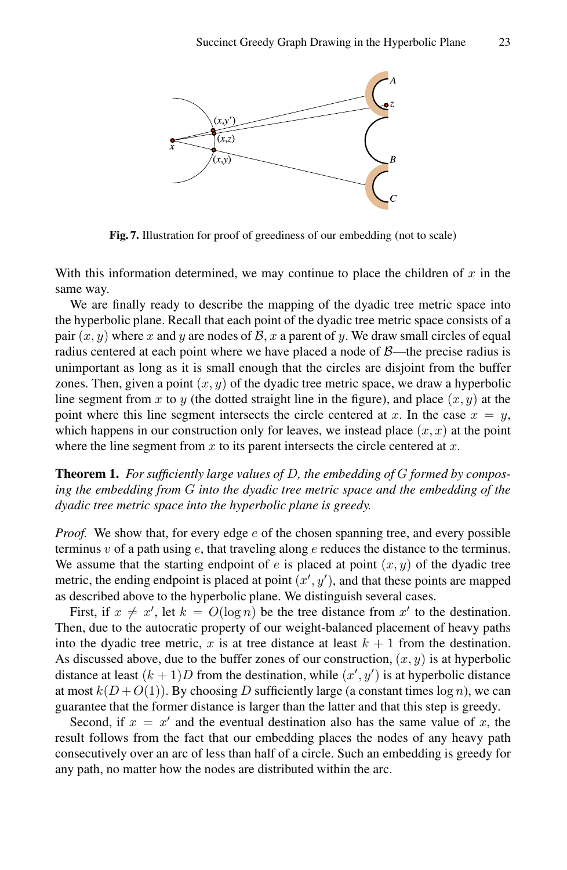

**Fig. 7.** Illustration for proof of greediness of our embedding (not to scale)

With this information determined, we may continue to place the children of  $x$  in the same way.

We are finally ready to describe the mapping of the dyadic tree metric space into the hyperbolic plane. Recall that each point of the dyadic tree metric space consists of a pair  $(x, y)$  where x and y are nodes of B, x a parent of y. We draw small circles of equal radius centered at each point where we have placed a node of  $\beta$ —the precise radius is unimportant as long as it is small enough that the circles are disjoint from the buffer zones. Then, given a point  $(x, y)$  of the dyadic tree metric space, we draw a hyperbolic line segment from x to y (the dotted straight line in the figure), and place  $(x, y)$  at the point where this line segment intersects the circle centered at x. In the case  $x = y$ , which happens in our construction only for leaves, we instead place  $(x, x)$  at the point where the line segment from  $x$  to its parent intersects the circle centered at  $x$ .

**Theorem 1.** *For sufficiently large values of* D*, the embedding of* G *formed by composing the embedding from* G *into the dyadic tree metric space and the embedding of the dyadic tree metric space into the hyperbolic plane is greedy.*

*Proof.* We show that, for every edge e of the chosen spanning tree, and every possible terminus  $v$  of a path using  $e$ , that traveling along  $e$  reduces the distance to the terminus. We assume that the starting endpoint of  $e$  is placed at point  $(x, y)$  of the dyadic tree metric, the ending endpoint is placed at point  $(x', y')$ , and that these points are mapped as described above to the hyperbolic plane. We distinguish several cases.

First, if  $x \neq x'$ , let  $k = O(\log n)$  be the tree distance from  $x'$  to the destination. Then, due to the autocratic property of our weight-balanced placement of heavy paths into the dyadic tree metric, x is at tree distance at least  $k + 1$  from the destination. As discussed above, due to the buffer zones of our construction,  $(x, y)$  is at hyperbolic distance at least  $(k + 1)D$  from the destination, while  $(x', y')$  is at hyperbolic distance at most  $k(D+O(1))$ . By choosing D sufficiently large (a constant times  $log n$ ), we can guarantee that the former distance is larger than the latter and that this step is greedy.

Second, if  $x = x'$  and the eventual destination also has the same value of x, the result follows from the fact that our embedding places the nodes of any heavy path consecutively over an arc of less than half of a circle. Such an embedding is greedy for any path, no matter how the nodes are distributed within the arc.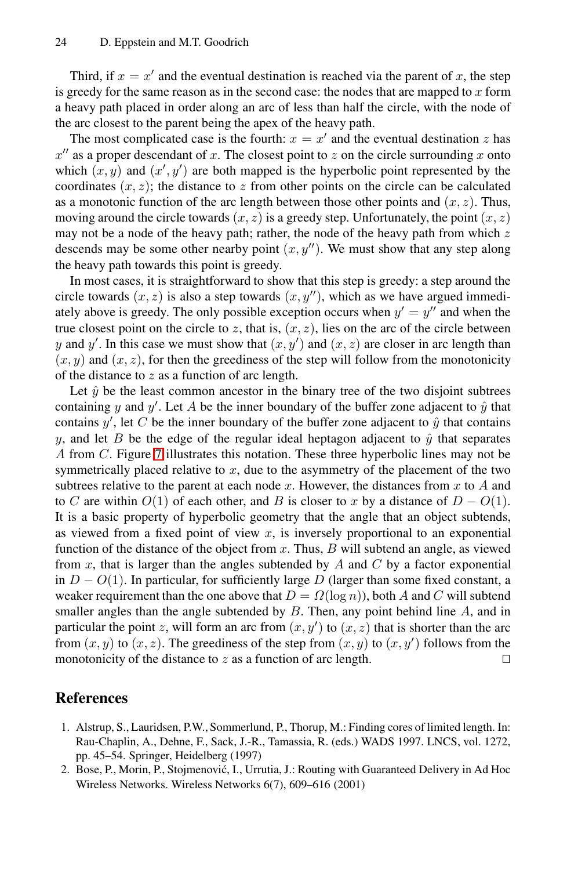Third, if  $x = x'$  and the eventual destination is reached via the parent of x, the step is greedy for the same reason as in the second case: the nodes that are mapped to  $x$  form a heavy path placed in order along an arc of less than half the circle, with the node of the arc closest to the parent being the apex of the heavy path.

The most complicated case is the fourth:  $x = x'$  and the eventual destination z has  $x''$  as a proper descendant of x. The closest point to z on the circle surrounding x onto which  $(x, y)$  and  $(x', y')$  are both mapped is the hyperbolic point represented by the coordinates  $(x, z)$ ; the distance to z from other points on the circle can be calculated as a monotonic function of the arc length between those other points and  $(x, z)$ . Thus, moving around the circle towards  $(x, z)$  is a greedy step. Unfortunately, the point  $(x, z)$ may not be a node of the heavy path; rather, the node of the heavy path from which z descends may be some other nearby point  $(x, y'')$ . We must show that any step along the heavy path towards this point is greedy.

In most cases, it is straightforward to show that this step is greedy: a step around the circle towards  $(x, z)$  is also a step towards  $(x, y'')$ , which as we have argued immediately above is greedy. The only possible exception occurs when  $y' = y''$  and when the true closest point on the circle to z, that is,  $(x, z)$ , lies on the arc of the circle between y and y'. In this case we must show that  $(x, y')$  and  $(x, z)$  are closer in arc length than  $(x, y)$  and  $(x, z)$ , for then the greediness of the step will follow from the monotonicity of the distance to  $z$  as a function of arc length.

Let  $\hat{y}$  be the least common ancestor in the binary tree of the two disjoint subtrees containing y and y'. Let A be the inner boundary of the buffer zone adjacent to  $\hat{y}$  that contains  $y'$ , let C be the inner boundary of the buffer zone adjacent to  $\hat{y}$  that contains y, and let B be the edge of the regular ideal heptagon adjacent to  $\hat{y}$  that separates A from C. Figure 7 illustrates this notation. These three hyperbolic lines may not be symmetrically placed relative to  $x$ , due to the asymmetry of the placement of the two subtrees relative to the parent at each node  $x$ . However, the distances from  $x$  to  $A$  and to C are within  $O(1)$  of each other, and B is closer to x by a distance of  $D - O(1)$ . It is a basic property of hyperbolic geometry that the angle that an object subtends, as viewed from a fixed point of view  $x$ , is inversely proportional to an exponential function of the distance of the object from  $x$ . Thus,  $B$  will subtend an angle, as viewed from  $x$ , that is larger than the angles subtended by  $A$  and  $C$  by a factor exponential in  $D - O(1)$ . In particular, for sufficiently large D (larger than some fixed constant, a weaker requirement than the one above that  $D = \Omega(\log n)$ , both A and C will subtend smaller angles than the angle subtended by  $B$ . Then, any point behind line  $A$ , and in particular the point z, will form an arc from  $(x, y')$  to  $(x, z)$  that is shorter than the arc from  $(x, y)$  to  $(x, z)$ . The greediness of the step from  $(x, y)$  to  $(x, y')$  follows from the monotonicity of the distance to z as a function of arc length.  $\square$ 

## <span id="page-10-1"></span><span id="page-10-0"></span>**References**

- 1. Alstrup, S., Lauridsen, P.W., Sommerlund, P., Thorup, M.: Finding cores of limited length. In: Rau-Chaplin, A., Dehne, F., Sack, J.-R., Tamassia, R. (eds.) WADS 1997. LNCS, vol. 1272, pp. 45–54. Springer, Heidelberg (1997)
- 2. Bose, P., Morin, P., Stojmenović, I., Urrutia, J.: Routing with Guaranteed Delivery in Ad Hoc Wireless Networks. Wireless Networks 6(7), 609–616 (2001)